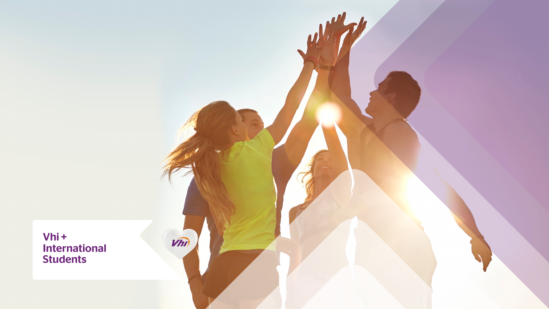### Vhi+ International Students

 $V(n)$ 

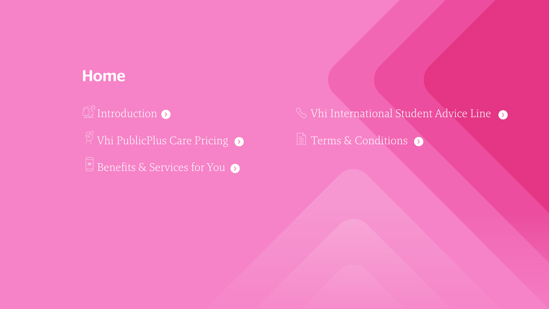<span id="page-1-0"></span>

12 [Introduction](#page-2-0) Vhi PublicPlus Care Pricin[g](#page-3-0) [Benefits & Services for You](#page-4-0)

## **S** Vhi International Student Advice Line E [Terms & Conditions](#page-7-0)

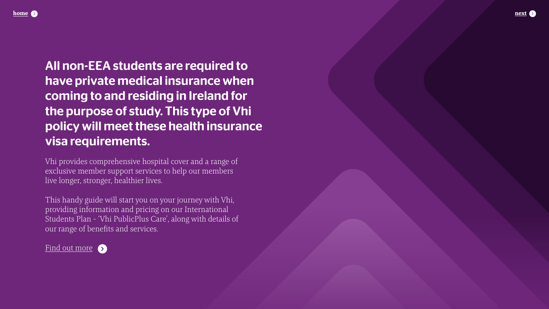<span id="page-2-0"></span>

### All non-EEA students are required to have private medical insurance when coming to and residing in Ireland for the purpose of study. This type of Vhi policy will meet these health insurance visa requirements.

Vhi provides comprehensive hospital cover and a range of exclusive member support services to help our members live longer, stronger, healthier lives.

This handy guide will start you on your journey with Vhi, providing information and pricing on our International Students Plan - 'Vhi PublicPlus Care', along with details of our range of benefits and services.

Find out more



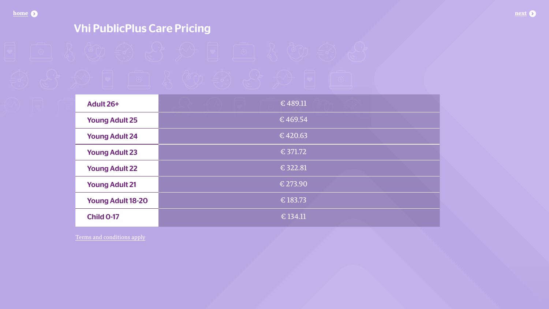<span id="page-3-0"></span> $home$   $\bullet$ 

### **Vhi PublicPlus Care Pricing**



**Young Adult 24 Young Adult 23 Young Adult 22 Young Adult 21 Young Adult 18-20 Child 0-17** 

Terms and conditions apply

| £489.11                 |  |  |
|-------------------------|--|--|
| $\overline{\in}$ 469.54 |  |  |
| $\sqrt{6420.63}$        |  |  |
| £ 371.72                |  |  |
| $\overline{\in}$ 322.81 |  |  |
| $£$ 273.90              |  |  |
| $£$ 183.73              |  |  |
| $\sqrt{6}$ 134.11       |  |  |

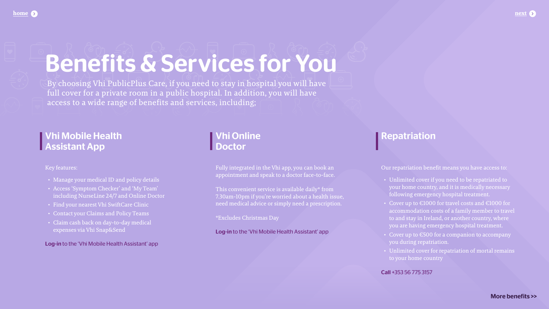# Benefits & Services for You

<span id="page-4-0"></span>**[home](#page-1-0) [next](#page-5-0)**

### Vhi Mobile Health Assistant App

Key features:

Fully integrated in the Vhi app, you can book an appointment and speak to a doctor face-to-face.

- Manage your medical ID and policy details
- Access 'Symptom Checker' and 'My Team' including NurseLine 24/7 and Online Doctor
- Find your nearest Vhi SwiftCare Clinic
- Contact your Claims and Policy Teams
- Claim cash back on day-to-day medical expenses via Vhi Snap&Send

Log-in to the 'Vhi Mobile Health Assistant' app

### Vhi Online Doctor

This convenient service is available daily\* from 7.30am-10pm if you're worried about a health issue, need medical advice or simply need a prescription.

\*Excludes Christmas Day

Log-in to the 'Vhi Mobile Health Assistant' app

### Repatriation

Our repatriation benefit means you have access to:

- Unlimited cover if you need to be repatriated to your home country, and it is medically necessary following emergency hospital treatment.
- Cover up to €1000 for travel costs and €1000 for accommodation costs of a family member to travel to and stay in Ireland, or another country, where you are having emergency hospital treatment.
- Cover up to €500 for a companion to accompany you during repatriation.
- Unlimited cover for repatriation of mortal remains to your home country

### Call +353 56 775 3157



By choosing Vhi PublicPlus Care, if you need to stay in hospital you will have full cover for a private room in a public hospital. In addition, you will have access to a wide range of benefits and services, including;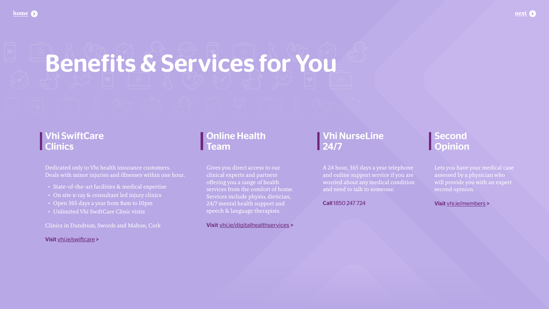# <span id="page-5-0"></span>Benefits & Services for You

### Online Health **Team**

### **Second** Opinion

Gives you direct access to our clinical experts and partners offering you a range of health services from the comfort of home. Services include physio, dietician, 24/7 mental health support and speech & language therapists.

### Vhi SwiftCare **Clinics**

Visit [vhi.ie/digitalhealthservices](http://vhi.ie/digitalhealthservices) >

Lets you have your medical case assessed by a physician who will provide you with an expert second opinion.

Visit [vhi.ie/members](http://vhi.ie/members) >



Dedicated only to Vhi health insurance customers. Deals with minor injuries and illnesses within one hour.

- State-of-the-art facilities & medical expertise
- On site x-ray & consultant led injury clinics
- Open 365 days a year from 8am to 10pm
- Unlimited Vhi SwiftCare Clinic visits

Clinics in Dundrum, Swords and Mahon, Cork

Visit [vhi.ie/swiftcare](http://vhi.ie/swiftcare) >

### Vhi NurseLine 24/7

A 24 hour, 365 days a year telephone and online support service if you are worried about any medical condition and need to talk to someone.

Call 1850 247 724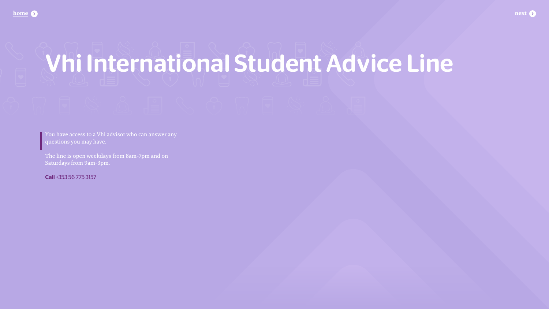# <span id="page-6-0"></span>**Vhi International Student Advice Line**

You have access to a Vhi advisor who can answer any questions you may have.

The line is open weekdays from 8am-7pm and on Saturdays from 9am-3pm.

Call +353 56 775 3157